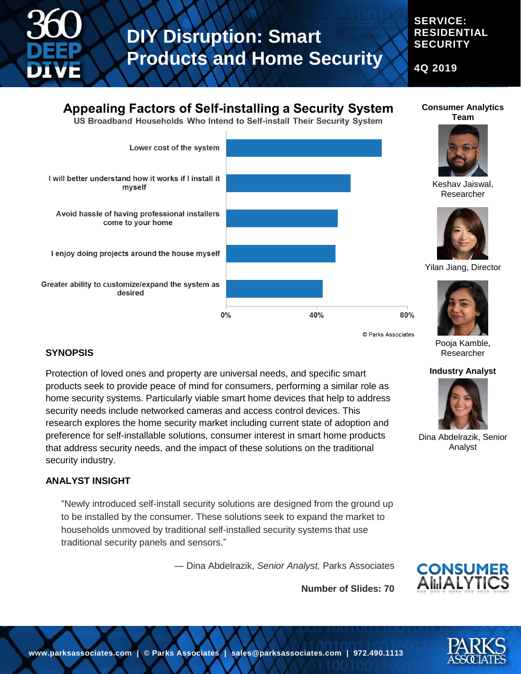

#### **SERVICE: RESIDENTIAL SECURITY**

**Consumer Analytics Team**

**4Q 2019**

## **Appealing Factors of Self-installing a Security System**

US Broadband Households Who Intend to Self-install Their Security System



© Parks Associates

Pooja Kamble, Researcher

#### **Industry Analyst**



Dina Abdelrazik, Senior Analyst

### **SYNOPSIS**

Protection of loved ones and property are universal needs, and specific smart products seek to provide peace of mind for consumers, performing a similar role as home security systems. Particularly viable smart home devices that help to address security needs include networked cameras and access control devices. This research explores the home security market including current state of adoption and preference for self-installable solutions, consumer interest in smart home products that address security needs, and the impact of these solutions on the traditional security industry.

#### **ANALYST INSIGHT**

"Newly introduced self-install security solutions are designed from the ground up to be installed by the consumer. These solutions seek to expand the market to households unmoved by traditional self-installed security systems that use traditional security panels and sensors."

― Dina Abdelrazik, *Senior Analyst,* Parks Associates

**Number of Slides: 70**



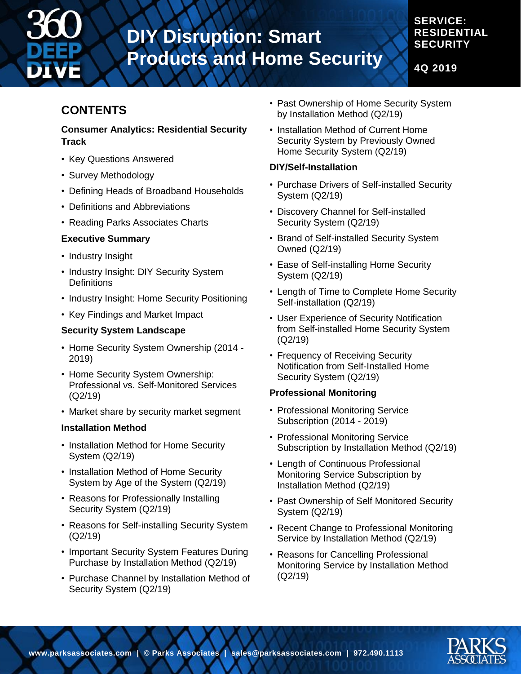

### **RESIDENTIAL SECURITY**

**SERVICE:** 

**4Q 2019**

### **CONTENTS**

#### **Consumer Analytics: Residential Security Track**

- Key Questions Answered
- Survey Methodology
- Defining Heads of Broadband Households
- Definitions and Abbreviations
- Reading Parks Associates Charts

#### **Executive Summary**

- Industry Insight
- Industry Insight: DIY Security System **Definitions**
- Industry Insight: Home Security Positioning
- Key Findings and Market Impact

#### **Security System Landscape**

- Home Security System Ownership (2014 2019)
- Home Security System Ownership: Professional vs. Self-Monitored Services (Q2/19)
- Market share by security market segment

#### **Installation Method**

- Installation Method for Home Security System (Q2/19)
- Installation Method of Home Security System by Age of the System (Q2/19)
- Reasons for Professionally Installing Security System (Q2/19)
- Reasons for Self-installing Security System (Q2/19)
- Important Security System Features During Purchase by Installation Method (Q2/19)
- Purchase Channel by Installation Method of Security System (Q2/19)
- Past Ownership of Home Security System by Installation Method (Q2/19)
- Installation Method of Current Home Security System by Previously Owned Home Security System (Q2/19)

#### **DIY/Self-Installation**

- Purchase Drivers of Self-installed Security System (Q2/19)
- Discovery Channel for Self-installed Security System (Q2/19)
- Brand of Self-installed Security System Owned (Q2/19)
- Ease of Self-installing Home Security System (Q2/19)
- Length of Time to Complete Home Security Self-installation (Q2/19)
- User Experience of Security Notification from Self-installed Home Security System (Q2/19)
- Frequency of Receiving Security Notification from Self-Installed Home Security System (Q2/19)

#### **Professional Monitoring**

- Professional Monitoring Service Subscription (2014 - 2019)
- Professional Monitoring Service Subscription by Installation Method (Q2/19)
- Length of Continuous Professional Monitoring Service Subscription by Installation Method (Q2/19)
- Past Ownership of Self Monitored Security System (Q2/19)
- Recent Change to Professional Monitoring Service by Installation Method (Q2/19)
- Reasons for Cancelling Professional Monitoring Service by Installation Method (Q2/19)

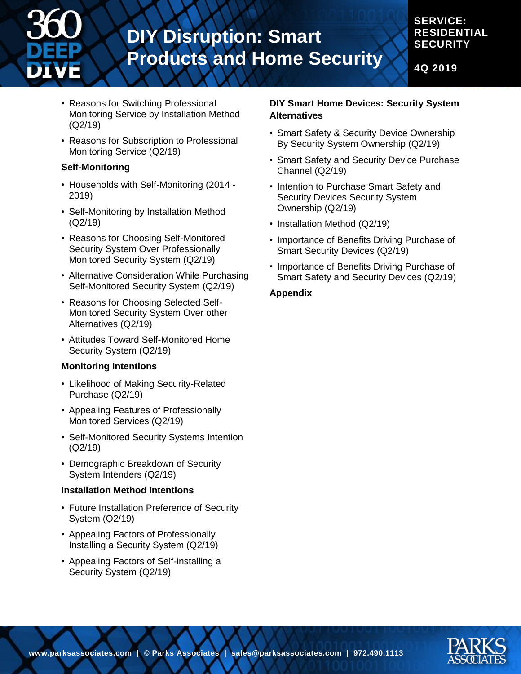

#### **SERVICE: RESIDENTIAL SECURITY**

**4Q 2019**

- Reasons for Switching Professional Monitoring Service by Installation Method (Q2/19)
- Reasons for Subscription to Professional Monitoring Service (Q2/19)

#### **Self-Monitoring**

- Households with Self-Monitoring (2014 2019)
- Self-Monitoring by Installation Method (Q2/19)
- Reasons for Choosing Self-Monitored Security System Over Professionally Monitored Security System (Q2/19)
- Alternative Consideration While Purchasing Self-Monitored Security System (Q2/19)
- Reasons for Choosing Selected Self-Monitored Security System Over other Alternatives (Q2/19)
- Attitudes Toward Self-Monitored Home Security System (Q2/19)

#### **Monitoring Intentions**

- Likelihood of Making Security-Related Purchase (Q2/19)
- Appealing Features of Professionally Monitored Services (Q2/19)
- Self-Monitored Security Systems Intention (Q2/19)
- Demographic Breakdown of Security System Intenders (Q2/19)

#### **Installation Method Intentions**

- Future Installation Preference of Security System (Q2/19)
- Appealing Factors of Professionally Installing a Security System (Q2/19)
- Appealing Factors of Self-installing a Security System (Q2/19)

#### **DIY Smart Home Devices: Security System Alternatives**

- Smart Safety & Security Device Ownership By Security System Ownership (Q2/19)
- Smart Safety and Security Device Purchase Channel (Q2/19)
- Intention to Purchase Smart Safety and Security Devices Security System Ownership (Q2/19)
- Installation Method (Q2/19)
- Importance of Benefits Driving Purchase of Smart Security Devices (Q2/19)
- Importance of Benefits Driving Purchase of Smart Safety and Security Devices (Q2/19)

#### **Appendix**